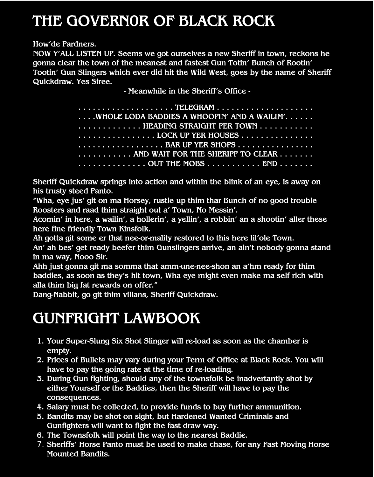### **THE GOVERN0R OF BLACK ROCK**

**How'de Pardners.**

**NOW Y'ALL LISTEN UP. Seems we got ourselves a new Sheriff in town, reckons he gonna clear the town of the meanest and fastest Gun Totin' Bunch of Rootin' Tootin' Gun Slingers which ever did hit the Wild West, goes by the name of Sheriff Quickdraw. Yes Siree.**

**- Meanwhile in the Sheriff's Office -**

| TELEGRAM <del></del>                                                                    |
|-----------------------------------------------------------------------------------------|
| $\dots$ . WHOLE LODA BADDIES A WHOOPIN' AND A WAILIM'. $\dots$                          |
| $\dots\dots\dots\dots$ HEADING STRAIGHT PER TOWN $\dots\dots\dots\dots$                 |
| $\dots\dots\dots\dots\dots\dots$ LOCK UP YER HOUSES $\dots\dots\dots\dots\dots\dots$    |
| $\dots\dots\dots\dots\dots\dotsB$ AR UP YER SHOPS $\dots\dots\dots\dots\dots\dots$      |
| AND WAIT FOR THE SHERIFF TO CLEAR                                                       |
| $\ldots \ldots \ldots \ldots$ . OUT THE MOBS $\ldots \ldots \ldots$ END $\ldots \ldots$ |

**Sheriff Quickdraw springs into action and within the blink of an eye, is away on his trusty steed Panto.**

**"Wha, eye jus' git on ma Horsey, rustle up thim thar Bunch of no good trouble Roosters and raad thim straight out a' Town, No Messin'.**

**Acomin' in here, a wailin', a hollerin', a yellin', a robbin' an a shootin' aller these here fine friendly Town Kinsfolk.**

**Ah gotta git some er that nee-or-mality restored to this here lil'ole Town.**

**An' ah bes' get ready beefer thim Gunslingers arrive, an ain't nobody gonna stand in ma way, Nooo Sir.**

**Ahh just gonna git ma somma that amm-une-nee-shon an a'hm ready for thim baddies, as soon as they's hit town, Wha eye might even make ma self rich with alla thim big fat rewards on offer."**

**Dang-Nabbit, go git thim villans, Sheriff Quickdraw.**

### **GUNFRIGHT LAWBOOK**

- **1. Your Super-Slung Six Shot Slinger will re-load as soon as the chamber is empty.**
- **2. Prices of Bullets may vary during your Term of Office at Black Rock. You will have to pay the going rate at the time of re-loading.**
- **3. During Gun fighting, should any of the townsfolk be inadvertantly shot by either Yourself or the Baddies, then the Sheriff will have to pay the consequences.**
- **4. Salary must be collected, to provide funds to buy further ammunition.**
- **5. Bandits may be shot on sight, but Hardened Wanted Criminals and Gunfighters will want to fight the fast draw way.**
- **6. The Townsfolk will point the way to the nearest Baddie.**
- 7. **Sheriffs' Horse Panto must be used to make chase, for any Fast Moving Horse Mounted Bandits.**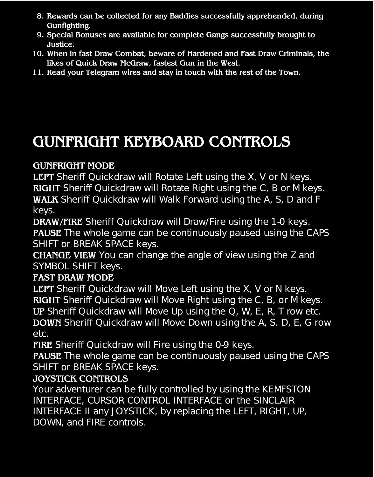- **8. Rewards can be collected for any Baddies successfully apprehended, during Gunfighting.**
- **9. Special Bonuses are available for complete Gangs successfully brought to Justice.**
- **10. When in fast Draw Combat, beware of Hardened and Fast Draw Criminals, the likes of Quick Draw McGraw, fastest Gun in the West.**
- **11. Read your Telegram wires and stay in touch with the rest of the Town.**

## **GUNFRIGHT KEYBOARD CONTROLS**

#### **GUNFRIGHT MODE**

**LEFT** Sheriff Quickdraw will Rotate Left using the X, V or N keys. **RIGHT** Sheriff Quickdraw will Rotate Right using the C, B or M keys. **WALK** Sheriff Quickdraw will Walk Forward using the A, S, D and F keys.

**DRAW/FIRE** Sheriff Quickdraw will Draw/Fire using the 1-0 keys. **PAUSE** The whole game can be continuously paused using the CAPS SHIFT or BREAK SPACE keys.

**CHANGE VIEW** You can change the angle of view using the Z and SYMBOL SHIFT keys.

#### **FAST DRAW MODE**

**LEFT** Sheriff Quickdraw will Move Left using the X, V or N keys. **RIGHT** Sheriff Quickdraw will Move Right using the C, B, or M keys.

**UP** Sheriff Quickdraw will Move Up using the Q, W, E, R, T row etc. **DOWN** Sheriff Quickdraw will Move Down using the A, S. D, E, G row etc.

**FIRE** Sheriff Quickdraw will Fire using the 0-9 keys.

**PAUSE** The whole game can be continuously paused using the CAPS SHIFT or BREAK SPACE keys.

#### **JOYSTICK CONTROLS**

Your adventurer can be fully controlled by using the KEMFSTON INTERFACE, CURSOR CONTROL INTERFACE or the SINCLAIR INTERFACE II any JOYSTICK, by replacing the LEFT, RIGHT, UP, DOWN, and FIRE controls.